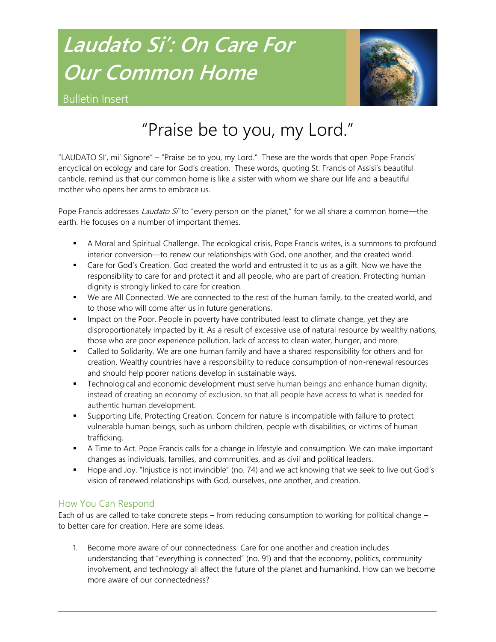# **Laudato Si': On Care For Our Common Home**



Bulletin Insert

## "Praise be to you, my Lord."

"LAUDATO SI', mi' Signore" – "Praise be to you, my Lord." These are the words that open Pope Francis' encyclical on ecology and care for God's creation. These words, quoting St. Francis of Assisi's beautiful canticle, remind us that our common home is like a sister with whom we share our life and a beautiful mother who opens her arms to embrace us.

Pope Francis addresses *Laudato Si'* to "every person on the planet," for we all share a common home—the earth. He focuses on a number of important themes.

- A Moral and Spiritual Challenge. The ecological crisis, Pope Francis writes, is a summons to profound interior conversion—to renew our relationships with God, one another, and the created world.
- Care for God's Creation. God created the world and entrusted it to us as a gift. Now we have the responsibility to care for and protect it and all people, who are part of creation. Protecting human dignity is strongly linked to care for creation.
- We are All Connected. We are connected to the rest of the human family, to the created world, and to those who will come after us in future generations.
- **IMPACT OF THE POOT** People in poverty have contributed least to climate change, yet they are disproportionately impacted by it. As a result of excessive use of natural resource by wealthy nations, those who are poor experience pollution, lack of access to clean water, hunger, and more.
- **Example 1** Called to Solidarity. We are one human family and have a shared responsibility for others and for creation. Wealthy countries have a responsibility to reduce consumption of non-renewal resources and should help poorer nations develop in sustainable ways.
- **Technological and economic development must serve human beings and enhance human dignity,** instead of creating an economy of exclusion, so that all people have access to what is needed for authentic human development.
- Supporting Life, Protecting Creation. Concern for nature is incompatible with failure to protect vulnerable human beings, such as unborn children, people with disabilities, or victims of human trafficking.
- A Time to Act. Pope Francis calls for a change in lifestyle and consumption. We can make important changes as individuals, families, and communities, and as civil and political leaders.
- Hope and Joy. "Injustice is not invincible" (no. 74) and we act knowing that we seek to live out God's vision of renewed relationships with God, ourselves, one another, and creation.

### How You Can Respond

Each of us are called to take concrete steps – from reducing consumption to working for political change – to better care for creation. Here are some ideas.

1. Become more aware of our connectedness. Care for one another and creation includes understanding that "everything is connected" (no. 91) and that the economy, politics, community involvement, and technology all affect the future of the planet and humankind. How can we become more aware of our connectedness?